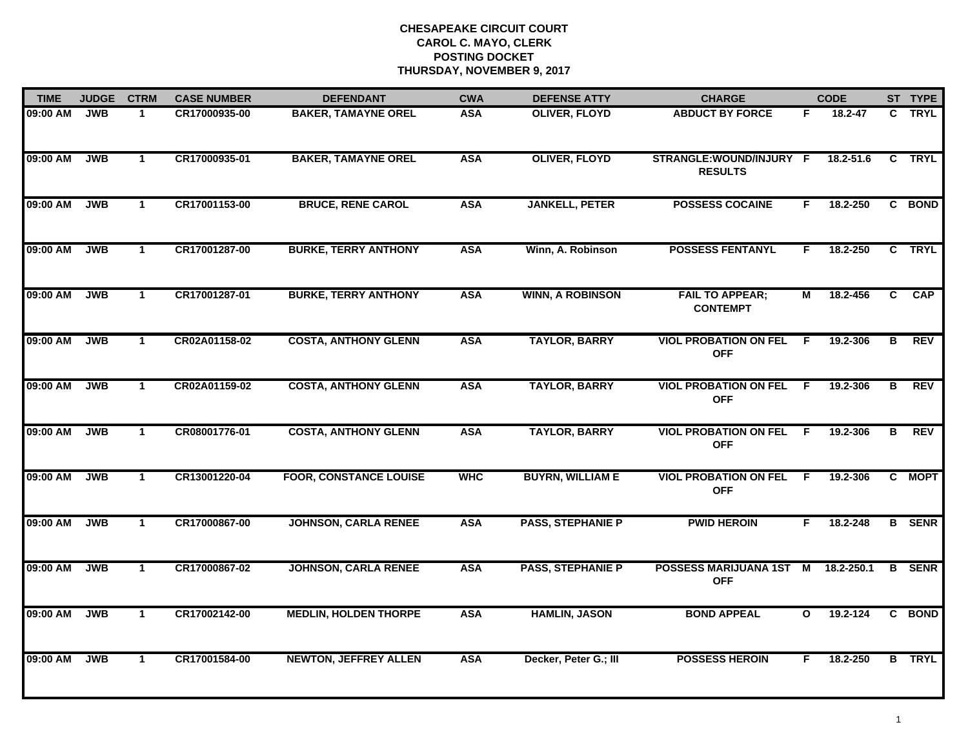| <b>TIME</b> | <b>JUDGE</b> | <b>CTRM</b>  | <b>CASE NUMBER</b> | <b>DEFENDANT</b>              | <b>CWA</b> | <b>DEFENSE ATTY</b>      | <b>CHARGE</b>                              |                | <b>CODE</b>   |                         | ST TYPE       |
|-------------|--------------|--------------|--------------------|-------------------------------|------------|--------------------------|--------------------------------------------|----------------|---------------|-------------------------|---------------|
| 09:00 AM    | <b>JWB</b>   | 1            | CR17000935-00      | <b>BAKER, TAMAYNE OREL</b>    | <b>ASA</b> | <b>OLIVER, FLOYD</b>     | <b>ABDUCT BY FORCE</b>                     | F              | 18.2-47       | C                       | <b>TRYL</b>   |
| 09:00 AM    | <b>JWB</b>   | $\mathbf{1}$ | CR17000935-01      | <b>BAKER, TAMAYNE OREL</b>    | <b>ASA</b> | <b>OLIVER, FLOYD</b>     | STRANGLE:WOUND/INJURY F<br><b>RESULTS</b>  |                | $18.2 - 51.6$ |                         | C TRYL        |
| 09:00 AM    | <b>JWB</b>   | $\mathbf{1}$ | CR17001153-00      | <b>BRUCE, RENE CAROL</b>      | <b>ASA</b> | <b>JANKELL, PETER</b>    | <b>POSSESS COCAINE</b>                     | F.             | 18.2-250      |                         | C BOND        |
| 09:00 AM    | <b>JWB</b>   | $\mathbf{1}$ | CR17001287-00      | <b>BURKE, TERRY ANTHONY</b>   | <b>ASA</b> | Winn, A. Robinson        | <b>POSSESS FENTANYL</b>                    | F.             | 18.2-250      |                         | C TRYL        |
| 09:00 AM    | <b>JWB</b>   | $\mathbf{1}$ | CR17001287-01      | <b>BURKE, TERRY ANTHONY</b>   | <b>ASA</b> | <b>WINN, A ROBINSON</b>  | <b>FAIL TO APPEAR;</b><br><b>CONTEMPT</b>  | М              | 18.2-456      | C.                      | <b>CAP</b>    |
| 09:00 AM    | <b>JWB</b>   | $\mathbf{1}$ | CR02A01158-02      | <b>COSTA, ANTHONY GLENN</b>   | <b>ASA</b> | <b>TAYLOR, BARRY</b>     | <b>VIOL PROBATION ON FEL</b><br><b>OFF</b> | F.             | 19.2-306      | в                       | <b>REV</b>    |
| 09:00 AM    | <b>JWB</b>   | $\mathbf{1}$ | CR02A01159-02      | <b>COSTA, ANTHONY GLENN</b>   | <b>ASA</b> | <b>TAYLOR, BARRY</b>     | <b>VIOL PROBATION ON FEL</b><br><b>OFF</b> | E              | 19.2-306      | $\overline{\mathbf{B}}$ | <b>REV</b>    |
| 09:00 AM    | <b>JWB</b>   | $\mathbf{1}$ | CR08001776-01      | <b>COSTA, ANTHONY GLENN</b>   | <b>ASA</b> | <b>TAYLOR, BARRY</b>     | <b>VIOL PROBATION ON FEL</b><br><b>OFF</b> | -F             | 19.2-306      | В                       | <b>REV</b>    |
| 09:00 AM    | <b>JWB</b>   | $\mathbf{1}$ | CR13001220-04      | <b>FOOR, CONSTANCE LOUISE</b> | <b>WHC</b> | <b>BUYRN, WILLIAM E</b>  | <b>VIOL PROBATION ON FEL</b><br><b>OFF</b> | F              | 19.2-306      | C                       | <b>MOPT</b>   |
| 09:00 AM    | <b>JWB</b>   | $\mathbf{1}$ | CR17000867-00      | <b>JOHNSON, CARLA RENEE</b>   | <b>ASA</b> | <b>PASS, STEPHANIE P</b> | <b>PWID HEROIN</b>                         | F              | 18.2-248      |                         | <b>B</b> SENR |
| 09:00 AM    | <b>JWB</b>   | $\mathbf{1}$ | CR17000867-02      | <b>JOHNSON, CARLA RENEE</b>   | <b>ASA</b> | <b>PASS, STEPHANIE P</b> | POSSESS MARIJUANA 1ST<br><b>OFF</b>        | $\blacksquare$ | 18.2-250.1    | В                       | <b>SENR</b>   |
| 09:00 AM    | <b>JWB</b>   | $\mathbf{1}$ | CR17002142-00      | <b>MEDLIN, HOLDEN THORPE</b>  | <b>ASA</b> | <b>HAMLIN, JASON</b>     | <b>BOND APPEAL</b>                         | $\mathbf{o}$   | 19.2-124      |                         | C BOND        |
| 09:00 AM    | <b>JWB</b>   | $\mathbf{1}$ | CR17001584-00      | <b>NEWTON, JEFFREY ALLEN</b>  | <b>ASA</b> | Decker, Peter G.; III    | <b>POSSESS HEROIN</b>                      | F.             | 18.2-250      |                         | <b>B</b> TRYL |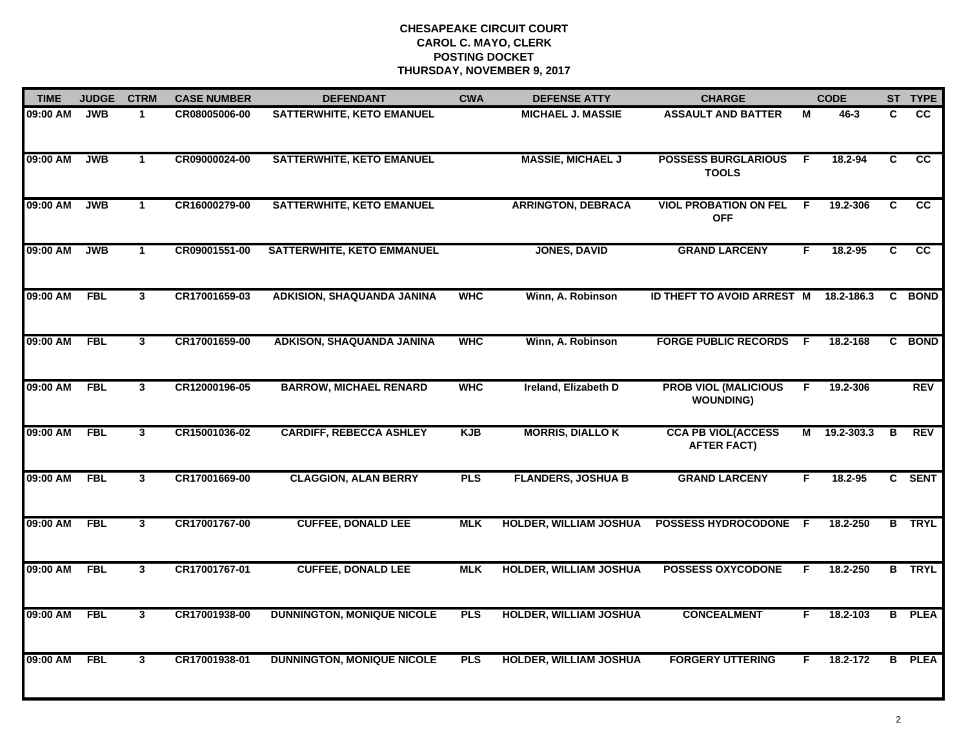| <b>TIME</b> | <b>JUDGE</b> | <b>CTRM</b>  | <b>CASE NUMBER</b> | <b>DEFENDANT</b>                  | <b>CWA</b> | <b>DEFENSE ATTY</b>           | <b>CHARGE</b>                                   |     | <b>CODE</b>  |                         | ST TYPE         |
|-------------|--------------|--------------|--------------------|-----------------------------------|------------|-------------------------------|-------------------------------------------------|-----|--------------|-------------------------|-----------------|
| 09:00 AM    | <b>JWB</b>   | 1            | CR08005006-00      | SATTERWHITE, KETO EMANUEL         |            | <b>MICHAEL J. MASSIE</b>      | <b>ASSAULT AND BATTER</b>                       | М   | 46-3         | C.                      | <b>CC</b>       |
| 09:00 AM    | <b>JWB</b>   | $\mathbf{1}$ | CR09000024-00      | <b>SATTERWHITE, KETO EMANUEL</b>  |            | <b>MASSIE, MICHAEL J</b>      | <b>POSSESS BURGLARIOUS</b><br><b>TOOLS</b>      | F.  | 18.2-94      | $\overline{\mathbf{c}}$ | $\overline{cc}$ |
| 09:00 AM    | <b>JWB</b>   | $\mathbf{1}$ | CR16000279-00      | <b>SATTERWHITE, KETO EMANUEL</b>  |            | <b>ARRINGTON, DEBRACA</b>     | <b>VIOL PROBATION ON FEL</b><br><b>OFF</b>      | -F  | 19.2-306     | C                       | cc              |
| 09:00 AM    | <b>JWB</b>   | -1           | CR09001551-00      | <b>SATTERWHITE, KETO EMMANUEL</b> |            | <b>JONES, DAVID</b>           | <b>GRAND LARCENY</b>                            | F.  | 18.2-95      | C.                      | <b>CC</b>       |
| 09:00 AM    | <b>FBL</b>   | $\mathbf{3}$ | CR17001659-03      | <b>ADKISION, SHAQUANDA JANINA</b> | <b>WHC</b> | Winn, A. Robinson             | <b>ID THEFT TO AVOID ARREST M</b>               |     | 18.2-186.3   |                         | C BOND          |
| 09:00 AM    | <b>FBL</b>   | $\mathbf{3}$ | CR17001659-00      | ADKISON, SHAQUANDA JANINA         | <b>WHC</b> | Winn, A. Robinson             | <b>FORGE PUBLIC RECORDS F</b>                   |     | 18.2-168     |                         | C BOND          |
| 09:00 AM    | <b>FBL</b>   | $\mathbf{3}$ | CR12000196-05      | <b>BARROW, MICHAEL RENARD</b>     | <b>WHC</b> | Ireland, Elizabeth D          | <b>PROB VIOL (MALICIOUS</b><br><b>WOUNDING)</b> | F.  | 19.2-306     |                         | REV             |
| 09:00 AM    | <b>FBL</b>   | $\mathbf{3}$ | CR15001036-02      | <b>CARDIFF, REBECCA ASHLEY</b>    | <b>KJB</b> | <b>MORRIS, DIALLO K</b>       | <b>CCA PB VIOL(ACCESS</b><br><b>AFTER FACT)</b> |     | M 19.2-303.3 | B                       | REV             |
| 09:00 AM    | <b>FBL</b>   | 3            | CR17001669-00      | <b>CLAGGION, ALAN BERRY</b>       | <b>PLS</b> | <b>FLANDERS, JOSHUA B</b>     | <b>GRAND LARCENY</b>                            | F.  | 18.2-95      |                         | C SENT          |
| 09:00 AM    | <b>FBL</b>   | $\mathbf{3}$ | CR17001767-00      | <b>CUFFEE, DONALD LEE</b>         | <b>MLK</b> | <b>HOLDER, WILLIAM JOSHUA</b> | <b>POSSESS HYDROCODONE</b>                      | - F | 18.2-250     |                         | <b>B</b> TRYL   |
| 09:00 AM    | <b>FBL</b>   | $\mathbf{3}$ | CR17001767-01      | <b>CUFFEE, DONALD LEE</b>         | <b>MLK</b> | <b>HOLDER, WILLIAM JOSHUA</b> | <b>POSSESS OXYCODONE</b>                        | F.  | 18.2-250     |                         | <b>B</b> TRYL   |
| 09:00 AM    | <b>FBL</b>   | $\mathbf{3}$ | CR17001938-00      | <b>DUNNINGTON, MONIQUE NICOLE</b> | <b>PLS</b> | <b>HOLDER, WILLIAM JOSHUA</b> | <b>CONCEALMENT</b>                              | F.  | 18.2-103     |                         | <b>B</b> PLEA   |
| 09:00 AM    | <b>FBL</b>   | $\mathbf{3}$ | CR17001938-01      | <b>DUNNINGTON, MONIQUE NICOLE</b> | <b>PLS</b> | <b>HOLDER, WILLIAM JOSHUA</b> | <b>FORGERY UTTERING</b>                         | F.  | 18.2-172     |                         | <b>B</b> PLEA   |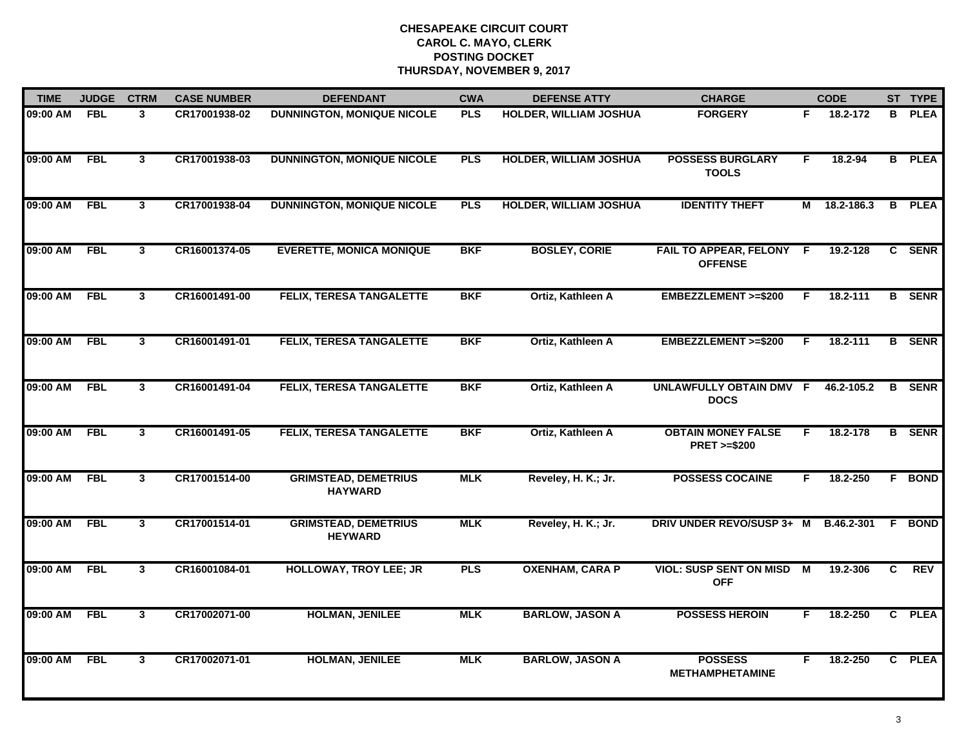| <b>TIME</b>  | <b>JUDGE</b> | <b>CTRM</b>             | <b>CASE NUMBER</b> | <b>DEFENDANT</b>                              | <b>CWA</b> | <b>DEFENSE ATTY</b>           | <b>CHARGE</b>                                       |    | <b>CODE</b> |   | ST TYPE       |
|--------------|--------------|-------------------------|--------------------|-----------------------------------------------|------------|-------------------------------|-----------------------------------------------------|----|-------------|---|---------------|
| 09:00 AM     | <b>FBL</b>   | 3                       | CR17001938-02      | <b>DUNNINGTON, MONIQUE NICOLE</b>             | PLS        | HOLDER, WILLIAM JOSHUA        | <b>FORGERY</b>                                      | F. | 18.2-172    | B | <b>PLEA</b>   |
| 09:00 AM     | FBL          | $\mathbf{3}$            | CR17001938-03      | <b>DUNNINGTON, MONIQUE NICOLE</b>             | <b>PLS</b> | <b>HOLDER, WILLIAM JOSHUA</b> | <b>POSSESS BURGLARY</b><br><b>TOOLS</b>             | F  | 18.2-94     |   | <b>B</b> PLEA |
| 09:00 AM     | <b>FBL</b>   | $\overline{\mathbf{3}}$ | CR17001938-04      | <b>DUNNINGTON, MONIQUE NICOLE</b>             | <b>PLS</b> | <b>HOLDER, WILLIAM JOSHUA</b> | <b>IDENTITY THEFT</b>                               | М  | 18.2-186.3  |   | <b>B</b> PLEA |
| 09:00 AM     | <b>FBL</b>   | $\mathbf{3}$            | CR16001374-05      | <b>EVERETTE, MONICA MONIQUE</b>               | <b>BKF</b> | <b>BOSLEY, CORIE</b>          | FAIL TO APPEAR, FELONY F<br><b>OFFENSE</b>          |    | 19.2-128    |   | C SENR        |
| 09:00 AM     | <b>FBL</b>   | 3                       | CR16001491-00      | <b>FELIX, TERESA TANGALETTE</b>               | <b>BKF</b> | Ortiz, Kathleen A             | EMBEZZLEMENT >=\$200                                | F. | 18.2-111    |   | <b>B</b> SENR |
| 09:00 AM FBL |              | $\mathbf{3}$            | CR16001491-01      | <b>FELIX, TERESA TANGALETTE</b>               | <b>BKF</b> | Ortiz, Kathleen A             | EMBEZZLEMENT >=\$200                                | F. | 18.2-111    |   | <b>B</b> SENR |
| 09:00 AM     | FBL          | $\overline{\mathbf{3}}$ | CR16001491-04      | <b>FELIX, TERESA TANGALETTE</b>               | <b>BKF</b> | Ortiz, Kathleen A             | UNLAWFULLY OBTAIN DMV F<br><b>DOCS</b>              |    | 46.2-105.2  |   | <b>B</b> SENR |
| 09:00 AM     | <b>FBL</b>   | $\overline{3}$          | CR16001491-05      | <b>FELIX, TERESA TANGALETTE</b>               | <b>BKF</b> | Ortiz, Kathleen A             | <b>OBTAIN MONEY FALSE</b><br><b>PRET &gt;=\$200</b> | F. | 18.2-178    |   | <b>B</b> SENR |
| 09:00 AM     | <b>FBL</b>   | $\mathbf{3}$            | CR17001514-00      | <b>GRIMSTEAD, DEMETRIUS</b><br><b>HAYWARD</b> | <b>MLK</b> | Reveley, H. K.; Jr.           | <b>POSSESS COCAINE</b>                              | F. | 18.2-250    |   | F BOND        |
| 09:00 AM     | <b>FBL</b>   | $\mathbf{3}$            | CR17001514-01      | <b>GRIMSTEAD, DEMETRIUS</b><br><b>HEYWARD</b> | <b>MLK</b> | Reveley, H. K.; Jr.           | DRIV UNDER REVO/SUSP 3+ M                           |    | B.46.2-301  |   | F BOND        |
| 09:00 AM     | <b>FBL</b>   | 3                       | CR16001084-01      | <b>HOLLOWAY, TROY LEE; JR</b>                 | <b>PLS</b> | <b>OXENHAM, CARA P</b>        | <b>VIOL: SUSP SENT ON MISD M</b><br><b>OFF</b>      |    | 19.2-306    | C | <b>REV</b>    |
| 09:00 AM     | FBL          | $\mathbf{3}$            | CR17002071-00      | <b>HOLMAN, JENILEE</b>                        | <b>MLK</b> | <b>BARLOW, JASON A</b>        | <b>POSSESS HEROIN</b>                               | F. | 18.2-250    |   | C PLEA        |
| 09:00 AM     | <b>FBL</b>   | $\overline{3}$          | CR17002071-01      | <b>HOLMAN, JENILEE</b>                        | <b>MLK</b> | <b>BARLOW, JASON A</b>        | <b>POSSESS</b><br><b>METHAMPHETAMINE</b>            | F. | 18.2-250    |   | C PLEA        |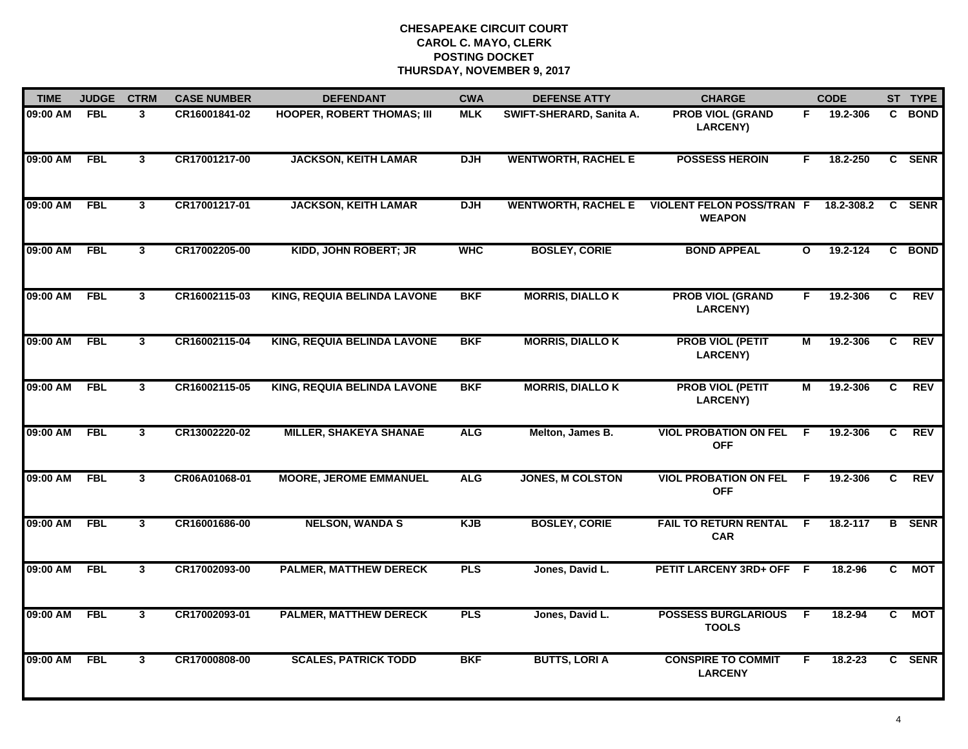| <b>TIME</b> | <b>JUDGE</b> | <b>CTRM</b>    | <b>CASE NUMBER</b> | <b>DEFENDANT</b>                   | <b>CWA</b> | <b>DEFENSE ATTY</b>        | <b>CHARGE</b>                                     |                | <b>CODE</b> |                | ST TYPE       |
|-------------|--------------|----------------|--------------------|------------------------------------|------------|----------------------------|---------------------------------------------------|----------------|-------------|----------------|---------------|
| 09:00 AM    | <b>FBL</b>   | 3              | CR16001841-02      | <b>HOOPER, ROBERT THOMAS; III</b>  | <b>MLK</b> | SWIFT-SHERARD, Sanita A.   | <b>PROB VIOL (GRAND</b><br><b>LARCENY)</b>        | F.             | 19.2-306    | C.             | <b>BOND</b>   |
| 09:00 AM    | <b>FBL</b>   | $\mathbf{3}$   | CR17001217-00      | <b>JACKSON, KEITH LAMAR</b>        | <b>DJH</b> | <b>WENTWORTH, RACHEL E</b> | <b>POSSESS HEROIN</b>                             | F.             | 18.2-250    |                | C SENR        |
| 09:00 AM    | FBL          | $\mathbf{3}$   | CR17001217-01      | <b>JACKSON, KEITH LAMAR</b>        | <b>DJH</b> | <b>WENTWORTH, RACHEL E</b> | <b>VIOLENT FELON POSS/TRAN F</b><br><b>WEAPON</b> |                | 18.2-308.2  |                | C SENR        |
| 09:00 AM    | <b>FBL</b>   | 3              | CR17002205-00      | <b>KIDD, JOHN ROBERT; JR</b>       | <b>WHC</b> | <b>BOSLEY, CORIE</b>       | <b>BOND APPEAL</b>                                | $\mathbf{o}$   | 19.2-124    |                | C BOND        |
| 09:00 AM    | <b>FBL</b>   | 3 <sup>1</sup> | CR16002115-03      | <b>KING, REQUIA BELINDA LAVONE</b> | <b>BKF</b> | <b>MORRIS, DIALLO K</b>    | <b>PROB VIOL (GRAND</b><br><b>LARCENY)</b>        | F.             | 19.2-306    | C.             | <b>REV</b>    |
| 09:00 AM    | <b>FBL</b>   | $\mathbf{3}$   | CR16002115-04      | <b>KING, REQUIA BELINDA LAVONE</b> | <b>BKF</b> | <b>MORRIS, DIALLO K</b>    | <b>PROB VIOL (PETIT</b><br><b>LARCENY)</b>        | М              | 19.2-306    | C              | <b>REV</b>    |
| 09:00 AM    | <b>FBL</b>   | $\overline{3}$ | CR16002115-05      | <b>KING, REQUIA BELINDA LAVONE</b> | <b>BKF</b> | <b>MORRIS, DIALLO K</b>    | <b>PROB VIOL (PETIT</b><br><b>LARCENY)</b>        | $\overline{M}$ | 19.2-306    | $\overline{c}$ | <b>REV</b>    |
| 09:00 AM    | <b>FBL</b>   | $\mathbf{3}$   | CR13002220-02      | <b>MILLER, SHAKEYA SHANAE</b>      | <b>ALG</b> | Melton, James B.           | <b>VIOL PROBATION ON FEL</b><br><b>OFF</b>        | F.             | 19.2-306    | C.             | <b>REV</b>    |
| 09:00 AM    | <b>FBL</b>   | 3              | CR06A01068-01      | <b>MOORE, JEROME EMMANUEL</b>      | <b>ALG</b> | <b>JONES, M COLSTON</b>    | <b>VIOL PROBATION ON FEL</b><br><b>OFF</b>        | -F             | 19.2-306    | C              | <b>REV</b>    |
| 09:00 AM    | <b>FBL</b>   | 3 <sup>1</sup> | CR16001686-00      | <b>NELSON, WANDA S</b>             | <b>KJB</b> | <b>BOSLEY, CORIE</b>       | <b>FAIL TO RETURN RENTAL</b><br><b>CAR</b>        | -F.            | 18.2-117    |                | <b>B</b> SENR |
| 09:00 AM    | <b>FBL</b>   | $\mathbf{3}$   | CR17002093-00      | <b>PALMER, MATTHEW DERECK</b>      | <b>PLS</b> | Jones, David L.            | PETIT LARCENY 3RD+ OFF F                          |                | 18.2-96     | C.             | <b>MOT</b>    |
| 09:00 AM    | <b>FBL</b>   | 3              | CR17002093-01      | <b>PALMER, MATTHEW DERECK</b>      | <b>PLS</b> | Jones, David L.            | <b>POSSESS BURGLARIOUS</b><br><b>TOOLS</b>        | $\overline{F}$ | 18.2-94     | $\overline{c}$ | <b>MOT</b>    |
| 09:00 AM    | <b>FBL</b>   | $\mathbf{3}$   | CR17000808-00      | <b>SCALES, PATRICK TODD</b>        | <b>BKF</b> | <b>BUTTS, LORI A</b>       | <b>CONSPIRE TO COMMIT</b><br><b>LARCENY</b>       | F.             | $18.2 - 23$ |                | C SENR        |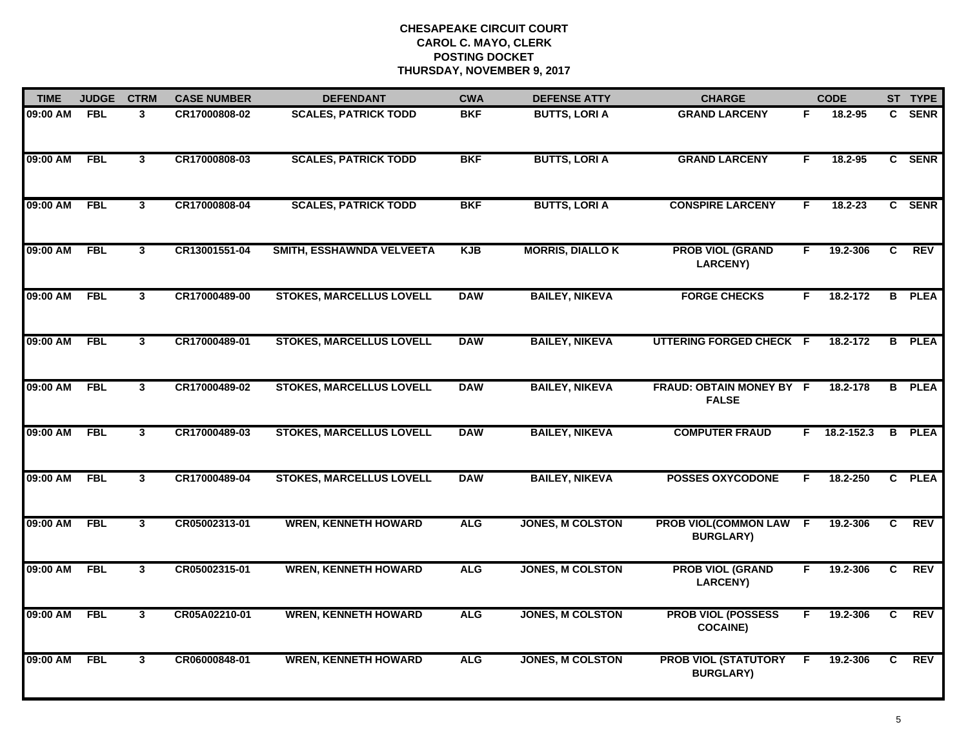| <b>TIME</b> | <b>JUDGE</b> | <b>CTRM</b>    | <b>CASE NUMBER</b> | <b>DEFENDANT</b>                | <b>CWA</b> | <b>DEFENSE ATTY</b>     | <b>CHARGE</b>                                   |    | <b>CODE</b>  |                | ST TYPE       |
|-------------|--------------|----------------|--------------------|---------------------------------|------------|-------------------------|-------------------------------------------------|----|--------------|----------------|---------------|
| 09:00 AM    | <b>FBL</b>   | 3              | CR17000808-02      | <b>SCALES, PATRICK TODD</b>     | <b>BKF</b> | <b>BUTTS, LORI A</b>    | <b>GRAND LARCENY</b>                            | F. | 18.2-95      | C.             | <b>SENR</b>   |
| 09:00 AM    | <b>FBL</b>   | $\mathbf{3}$   | CR17000808-03      | <b>SCALES, PATRICK TODD</b>     | <b>BKF</b> | <b>BUTTS, LORI A</b>    | <b>GRAND LARCENY</b>                            | F. | 18.2-95      |                | C SENR        |
| 09:00 AM    | <b>FBL</b>   | $\mathbf{3}$   | CR17000808-04      | <b>SCALES, PATRICK TODD</b>     | <b>BKF</b> | <b>BUTTS, LORI A</b>    | <b>CONSPIRE LARCENY</b>                         | F. | $18.2 - 23$  |                | C SENR        |
| 09:00 AM    | <b>FBL</b>   | $\mathbf{3}$   | CR13001551-04      | SMITH, ESSHAWNDA VELVEETA       | <b>KJB</b> | <b>MORRIS, DIALLO K</b> | <b>PROB VIOL (GRAND</b><br><b>LARCENY)</b>      | F. | 19.2-306     | C              | <b>REV</b>    |
| 09:00 AM    | <b>FBL</b>   | $\mathbf{3}$   | CR17000489-00      | <b>STOKES, MARCELLUS LOVELL</b> | <b>DAW</b> | <b>BAILEY, NIKEVA</b>   | <b>FORGE CHECKS</b>                             | F. | 18.2-172     |                | <b>B</b> PLEA |
| 09:00 AM    | <b>FBL</b>   | $\mathbf{3}$   | CR17000489-01      | <b>STOKES, MARCELLUS LOVELL</b> | <b>DAW</b> | <b>BAILEY, NIKEVA</b>   | UTTERING FORGED CHECK F                         |    | 18.2-172     |                | <b>B</b> PLEA |
| 09:00 AM    | <b>FBL</b>   | $\overline{3}$ | CR17000489-02      | <b>STOKES, MARCELLUS LOVELL</b> | <b>DAW</b> | <b>BAILEY, NIKEVA</b>   | FRAUD: OBTAIN MONEY BY F<br><b>FALSE</b>        |    | 18.2-178     |                | <b>B</b> PLEA |
| 09:00 AM    | FBL          | $\mathbf{3}$   | CR17000489-03      | <b>STOKES, MARCELLUS LOVELL</b> | <b>DAW</b> | <b>BAILEY, NIKEVA</b>   | <b>COMPUTER FRAUD</b>                           |    | F 18.2-152.3 |                | <b>B</b> PLEA |
| 09:00 AM    | <b>FBL</b>   | $\mathbf{3}$   | CR17000489-04      | <b>STOKES, MARCELLUS LOVELL</b> | <b>DAW</b> | <b>BAILEY, NIKEVA</b>   | <b>POSSES OXYCODONE</b>                         | F  | 18.2-250     |                | C PLEA        |
| 09:00 AM    | <b>FBL</b>   | 3 <sup>1</sup> | CR05002313-01      | <b>WREN, KENNETH HOWARD</b>     | <b>ALG</b> | <b>JONES, M COLSTON</b> | <b>PROB VIOL(COMMON LAW</b><br><b>BURGLARY)</b> | F  | 19.2-306     | C              | <b>REV</b>    |
| 09:00 AM    | <b>FBL</b>   | $\mathbf{3}$   | CR05002315-01      | <b>WREN, KENNETH HOWARD</b>     | <b>ALG</b> | <b>JONES, M COLSTON</b> | <b>PROB VIOL (GRAND</b><br><b>LARCENY)</b>      | F. | 19.2-306     | C.             | <b>REV</b>    |
| 09:00 AM    | <b>FBL</b>   | $\mathbf{3}$   | CR05A02210-01      | <b>WREN, KENNETH HOWARD</b>     | <b>ALG</b> | <b>JONES, M COLSTON</b> | <b>PROB VIOL (POSSESS</b><br><b>COCAINE)</b>    | F  | 19.2-306     | $\overline{c}$ | <b>REV</b>    |
| 09:00 AM    | <b>FBL</b>   | 3              | CR06000848-01      | <b>WREN, KENNETH HOWARD</b>     | <b>ALG</b> | <b>JONES, M COLSTON</b> | <b>PROB VIOL (STATUTORY</b><br><b>BURGLARY)</b> | F. | 19.2-306     | C              | <b>REV</b>    |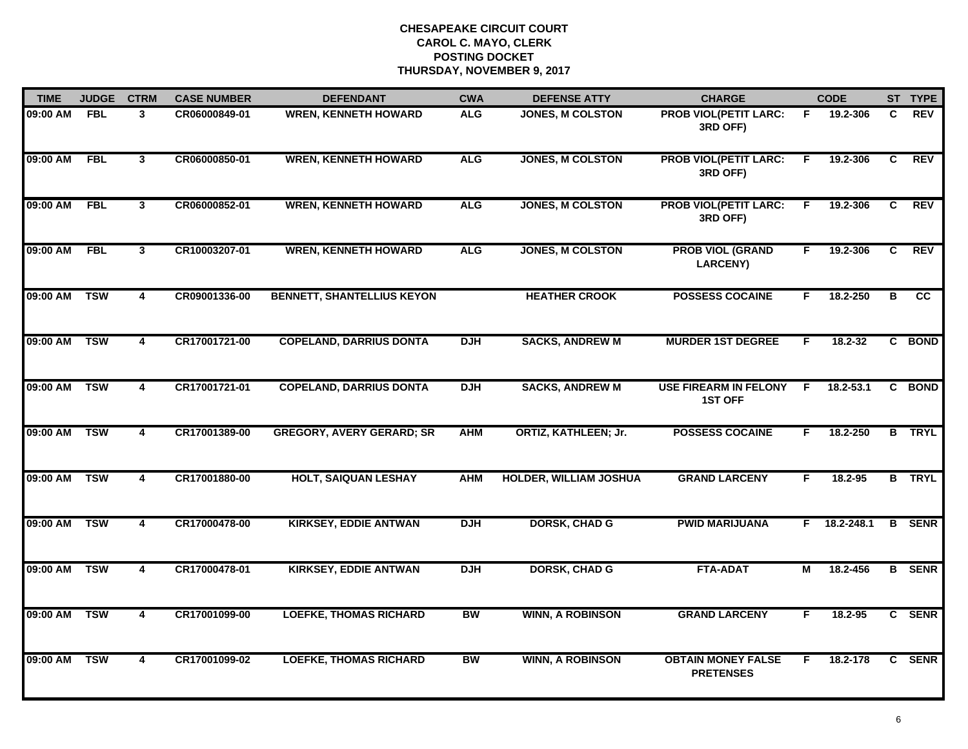| <b>TIME</b>  | <b>JUDGE</b> | <b>CTRM</b>             | <b>CASE NUMBER</b> | <b>DEFENDANT</b>                  | <b>CWA</b> | <b>DEFENSE ATTY</b>           | <b>CHARGE</b>                                  |    | <b>CODE</b>  |    | ST TYPE       |
|--------------|--------------|-------------------------|--------------------|-----------------------------------|------------|-------------------------------|------------------------------------------------|----|--------------|----|---------------|
| 09:00 AM     | <b>FBL</b>   | 3                       | CR06000849-01      | <b>WREN, KENNETH HOWARD</b>       | <b>ALG</b> | JONES, M COLSTON              | <b>PROB VIOL(PETIT LARC:</b><br>3RD OFF)       | F. | 19.2-306     | C. | <b>REV</b>    |
| 09:00 AM     | FBL          | $\overline{3}$          | CR06000850-01      | <b>WREN, KENNETH HOWARD</b>       | <b>ALG</b> | <b>JONES, M COLSTON</b>       | <b>PROB VIOL(PETIT LARC:</b><br>3RD OFF)       | F. | 19.2-306     | C  | <b>REV</b>    |
| 09:00 AM     | <b>FBL</b>   | 3                       | CR06000852-01      | <b>WREN, KENNETH HOWARD</b>       | <b>ALG</b> | <b>JONES, M COLSTON</b>       | <b>PROB VIOL(PETIT LARC:</b><br>3RD OFF)       | F. | 19.2-306     | C  | <b>REV</b>    |
| 09:00 AM     | <b>FBL</b>   | 3                       | CR10003207-01      | <b>WREN, KENNETH HOWARD</b>       | <b>ALG</b> | <b>JONES, M COLSTON</b>       | <b>PROB VIOL (GRAND</b><br><b>LARCENY)</b>     | F. | 19.2-306     | C  | <b>REV</b>    |
| 09:00 AM     | <b>TSW</b>   | 4                       | CR09001336-00      | <b>BENNETT, SHANTELLIUS KEYON</b> |            | <b>HEATHER CROOK</b>          | <b>POSSESS COCAINE</b>                         | F. | 18.2-250     | B  | CC.           |
| 09:00 AM     | <b>TSW</b>   | 4                       | CR17001721-00      | <b>COPELAND, DARRIUS DONTA</b>    | <b>DJH</b> | <b>SACKS, ANDREW M</b>        | <b>MURDER 1ST DEGREE</b>                       | F. | 18.2-32      |    | C BOND        |
| 09:00 AM     | <b>TSW</b>   | 4                       | CR17001721-01      | <b>COPELAND, DARRIUS DONTA</b>    | <b>DJH</b> | <b>SACKS, ANDREW M</b>        | <b>USE FIREARM IN FELONY</b><br><b>1ST OFF</b> | F. | 18.2-53.1    |    | C BOND        |
| 09:00 AM     | <b>TSW</b>   | $\overline{\mathbf{4}}$ | CR17001389-00      | <b>GREGORY, AVERY GERARD; SR</b>  | <b>AHM</b> | <b>ORTIZ, KATHLEEN; Jr.</b>   | <b>POSSESS COCAINE</b>                         | F. | 18.2-250     |    | <b>B</b> TRYL |
| 09:00 AM     | <b>TSW</b>   | 4                       | CR17001880-00      | <b>HOLT, SAIQUAN LESHAY</b>       | <b>AHM</b> | <b>HOLDER, WILLIAM JOSHUA</b> | <b>GRAND LARCENY</b>                           | F. | 18.2-95      |    | <b>B</b> TRYL |
| 09:00 AM     | <b>TSW</b>   | 4                       | CR17000478-00      | <b>KIRKSEY, EDDIE ANTWAN</b>      | <b>DJH</b> | <b>DORSK, CHAD G</b>          | <b>PWID MARIJUANA</b>                          |    | F 18.2-248.1 |    | <b>B</b> SENR |
| 09:00 AM TSW |              | 4                       | CR17000478-01      | <b>KIRKSEY, EDDIE ANTWAN</b>      | <b>DJH</b> | <b>DORSK, CHAD G</b>          | <b>FTA-ADAT</b>                                | М  | 18.2-456     |    | <b>B</b> SENR |
| 09:00 AM     | <b>TSW</b>   | $\overline{\mathbf{4}}$ | CR17001099-00      | <b>LOEFKE, THOMAS RICHARD</b>     | <b>BW</b>  | <b>WINN, A ROBINSON</b>       | <b>GRAND LARCENY</b>                           | F  | 18.2-95      |    | C SENR        |
| 09:00 AM     | <b>TSW</b>   | $\overline{\mathbf{4}}$ | CR17001099-02      | <b>LOEFKE, THOMAS RICHARD</b>     | <b>BW</b>  | <b>WINN, A ROBINSON</b>       | <b>OBTAIN MONEY FALSE</b><br><b>PRETENSES</b>  | F  | 18.2-178     |    | C SENR        |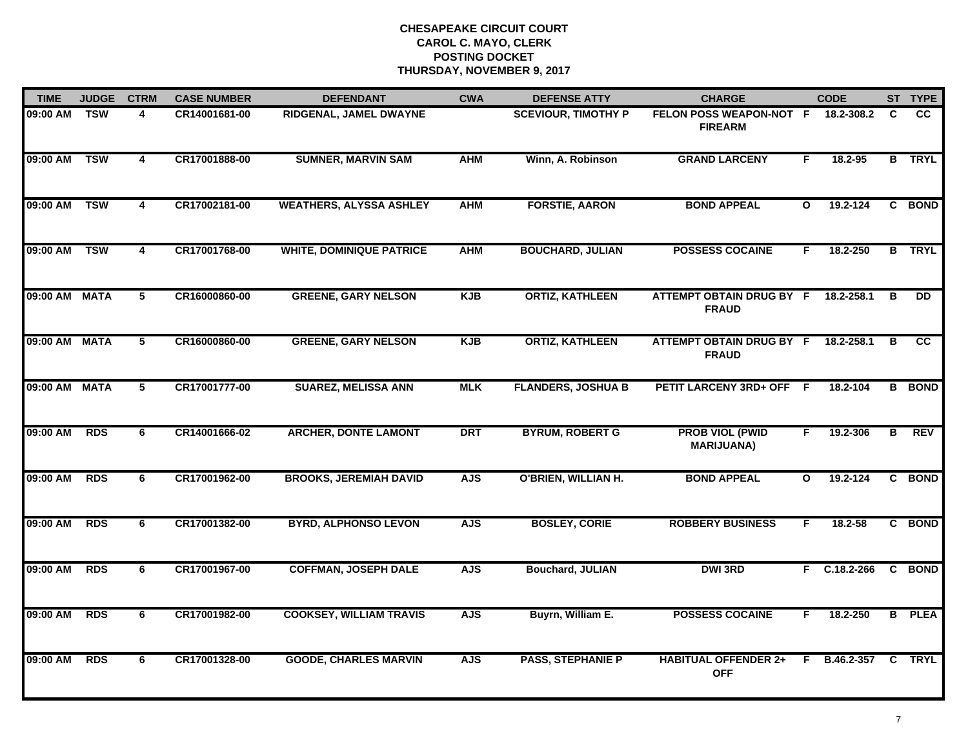| <b>TIME</b>   | <b>JUDGE</b> | <b>CTRM</b>     | <b>CASE NUMBER</b> | <b>DEFENDANT</b>                | <b>CWA</b> | <b>DEFENSE ATTY</b>        | <b>CHARGE</b>                                   |              | <b>CODE</b>    |   | ST TYPE       |
|---------------|--------------|-----------------|--------------------|---------------------------------|------------|----------------------------|-------------------------------------------------|--------------|----------------|---|---------------|
| 09:00 AM      | <b>TSW</b>   | 4               | CR14001681-00      | RIDGENAL, JAMEL DWAYNE          |            | <b>SCEVIOUR, TIMOTHY P</b> | FELON POSS WEAPON-NOT F<br><b>FIREARM</b>       |              | 18.2-308.2     | C | <b>CC</b>     |
| 09:00 AM      | <b>TSW</b>   | 4               | CR17001888-00      | <b>SUMNER, MARVIN SAM</b>       | <b>AHM</b> | Winn, A. Robinson          | <b>GRAND LARCENY</b>                            | F.           | 18.2-95        |   | <b>B</b> TRYL |
| 09:00 AM      | <b>TSW</b>   | $\overline{4}$  | CR17002181-00      | <b>WEATHERS, ALYSSA ASHLEY</b>  | <b>AHM</b> | <b>FORSTIE, AARON</b>      | <b>BOND APPEAL</b>                              | $\mathbf{o}$ | 19.2-124       |   | C BOND        |
| 09:00 AM      | <b>TSW</b>   | 4               | CR17001768-00      | <b>WHITE, DOMINIQUE PATRICE</b> | <b>AHM</b> | <b>BOUCHARD, JULIAN</b>    | <b>POSSESS COCAINE</b>                          | F.           | 18.2-250       |   | <b>B</b> TRYL |
| 09:00 AM MATA |              | 5               | CR16000860-00      | <b>GREENE, GARY NELSON</b>      | KJB        | <b>ORTIZ, KATHLEEN</b>     | <b>ATTEMPT OBTAIN DRUG BY F</b><br><b>FRAUD</b> |              | 18.2-258.1     | В | <b>DD</b>     |
| 09:00 AM MATA |              | $5\overline{ }$ | CR16000860-00      | <b>GREENE, GARY NELSON</b>      | <b>KJB</b> | <b>ORTIZ, KATHLEEN</b>     | ATTEMPT OBTAIN DRUG BY F<br><b>FRAUD</b>        |              | 18.2-258.1     | B | CC            |
| 09:00 AM MATA |              | 5               | CR17001777-00      | <b>SUAREZ, MELISSA ANN</b>      | <b>MLK</b> | <b>FLANDERS, JOSHUA B</b>  | <b>PETIT LARCENY 3RD+ OFF</b>                   | -F.          | 18.2-104       |   | <b>B</b> BOND |
| 09:00 AM      | <b>RDS</b>   | 6               | CR14001666-02      | <b>ARCHER, DONTE LAMONT</b>     | <b>DRT</b> | <b>BYRUM, ROBERT G</b>     | <b>PROB VIOL (PWID</b><br><b>MARIJUANA)</b>     | F            | 19.2-306       | B | REV           |
| 09:00 AM      | <b>RDS</b>   | 6               | CR17001962-00      | <b>BROOKS, JEREMIAH DAVID</b>   | <b>AJS</b> | <b>O'BRIEN, WILLIAN H.</b> | <b>BOND APPEAL</b>                              | $\mathbf{o}$ | 19.2-124       |   | C BOND        |
| 09:00 AM      | <b>RDS</b>   | 6               | CR17001382-00      | <b>BYRD, ALPHONSO LEVON</b>     | <b>AJS</b> | <b>BOSLEY, CORIE</b>       | <b>ROBBERY BUSINESS</b>                         | F.           | $18.2 - 58$    |   | C BOND        |
| 09:00 AM      | <b>RDS</b>   | 6               | CR17001967-00      | <b>COFFMAN, JOSEPH DALE</b>     | <b>AJS</b> | <b>Bouchard, JULIAN</b>    | <b>DWI 3RD</b>                                  |              | $F$ C.18.2-266 |   | C BOND        |
| 09:00 AM      | <b>RDS</b>   | 6               | CR17001982-00      | <b>COOKSEY, WILLIAM TRAVIS</b>  | <b>AJS</b> | Buyrn, William E.          | <b>POSSESS COCAINE</b>                          | F.           | 18.2-250       |   | <b>B</b> PLEA |
| 09:00 AM      | <b>RDS</b>   | 6               | CR17001328-00      | <b>GOODE, CHARLES MARVIN</b>    | <b>AJS</b> | <b>PASS, STEPHANIE P</b>   | <b>HABITUAL OFFENDER 2+</b><br><b>OFF</b>       | F            | B.46.2-357     | C | <b>TRYL</b>   |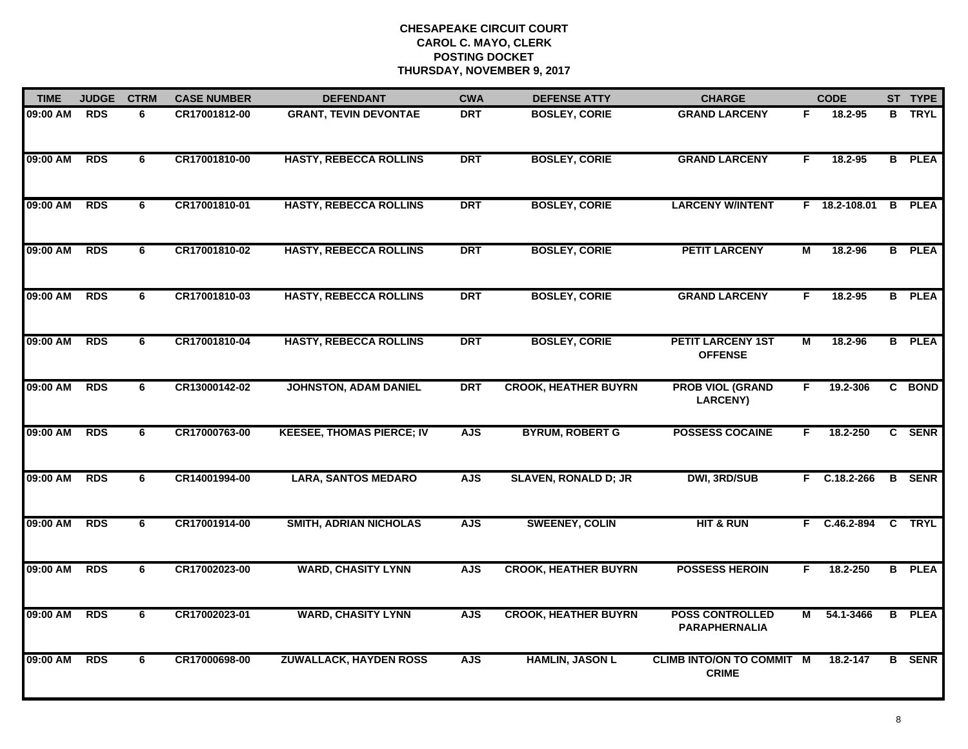| <b>TIME</b> | <b>JUDGE</b> | <b>CTRM</b>    | <b>CASE NUMBER</b> | <b>DEFENDANT</b>                 | <b>CWA</b> | <b>DEFENSE ATTY</b>         | <b>CHARGE</b>                                    |                | <b>CODE</b>     |                | ST TYPE       |
|-------------|--------------|----------------|--------------------|----------------------------------|------------|-----------------------------|--------------------------------------------------|----------------|-----------------|----------------|---------------|
| 09:00 AM    | <b>RDS</b>   | 6              | CR17001812-00      | <b>GRANT, TEVIN DEVONTAE</b>     | <b>DRT</b> | <b>BOSLEY, CORIE</b>        | <b>GRAND LARCENY</b>                             | F.             | 18.2-95         | в              | <b>TRYL</b>   |
| 09:00 AM    | <b>RDS</b>   | 6              | CR17001810-00      | <b>HASTY, REBECCA ROLLINS</b>    | <b>DRT</b> | <b>BOSLEY, CORIE</b>        | <b>GRAND LARCENY</b>                             | F.             | 18.2-95         |                | <b>B</b> PLEA |
| 09:00 AM    | <b>RDS</b>   | 6              | CR17001810-01      | <b>HASTY, REBECCA ROLLINS</b>    | <b>DRT</b> | <b>BOSLEY, CORIE</b>        | <b>LARCENY W/INTENT</b>                          |                | $F$ 18.2-108.01 | B              | <b>PLEA</b>   |
| 09:00 AM    | <b>RDS</b>   | 6              | CR17001810-02      | <b>HASTY, REBECCA ROLLINS</b>    | <b>DRT</b> | <b>BOSLEY, CORIE</b>        | <b>PETIT LARCENY</b>                             | М              | 18.2-96         |                | <b>B</b> PLEA |
| 09:00 AM    | <b>RDS</b>   | 6              | CR17001810-03      | <b>HASTY, REBECCA ROLLINS</b>    | <b>DRT</b> | <b>BOSLEY, CORIE</b>        | <b>GRAND LARCENY</b>                             | F.             | $18.2 - 95$     |                | <b>B</b> PLEA |
| 09:00 AM    | <b>RDS</b>   | 6              | CR17001810-04      | <b>HASTY, REBECCA ROLLINS</b>    | <b>DRT</b> | <b>BOSLEY, CORIE</b>        | <b>PETIT LARCENY 1ST</b><br><b>OFFENSE</b>       | М              | 18.2-96         |                | <b>B</b> PLEA |
| 09:00 AM    | <b>RDS</b>   | $\overline{6}$ | CR13000142-02      | <b>JOHNSTON, ADAM DANIEL</b>     | <b>DRT</b> | <b>CROOK, HEATHER BUYRN</b> | <b>PROB VIOL (GRAND</b><br><b>LARCENY)</b>       | F.             | 19.2-306        |                | C BOND        |
| 09:00 AM    | <b>RDS</b>   | 6              | CR17000763-00      | <b>KEESEE, THOMAS PIERCE; IV</b> | <b>AJS</b> | <b>BYRUM, ROBERT G</b>      | <b>POSSESS COCAINE</b>                           | F.             | 18.2-250        |                | C SENR        |
| 09:00 AM    | <b>RDS</b>   | 6              | CR14001994-00      | <b>LARA, SANTOS MEDARO</b>       | <b>AJS</b> | <b>SLAVEN, RONALD D; JR</b> | <b>DWI, 3RD/SUB</b>                              | F.             | $C.18.2 - 266$  |                | <b>B</b> SENR |
| 09:00 AM    | <b>RDS</b>   | 6              | CR17001914-00      | <b>SMITH, ADRIAN NICHOLAS</b>    | <b>AJS</b> | <b>SWEENEY, COLIN</b>       | <b>HIT &amp; RUN</b>                             |                | F C.46.2-894    |                | C TRYL        |
| 09:00 AM    | <b>RDS</b>   | 6              | CR17002023-00      | <b>WARD, CHASITY LYNN</b>        | <b>AJS</b> | <b>CROOK, HEATHER BUYRN</b> | <b>POSSESS HEROIN</b>                            | F.             | 18.2-250        |                | <b>B</b> PLEA |
| 09:00 AM    | <b>RDS</b>   | 6              | CR17002023-01      | <b>WARD, CHASITY LYNN</b>        | <b>AJS</b> | <b>CROOK, HEATHER BUYRN</b> | <b>POSS CONTROLLED</b><br><b>PARAPHERNALIA</b>   | $\overline{M}$ | 54.1-3466       | $\overline{B}$ | <b>PLEA</b>   |
| 09:00 AM    | <b>RDS</b>   | 6              | CR17000698-00      | <b>ZUWALLACK, HAYDEN ROSS</b>    | <b>AJS</b> | <b>HAMLIN, JASON L</b>      | <b>CLIMB INTO/ON TO COMMIT M</b><br><b>CRIME</b> |                | 18.2-147        |                | <b>B</b> SENR |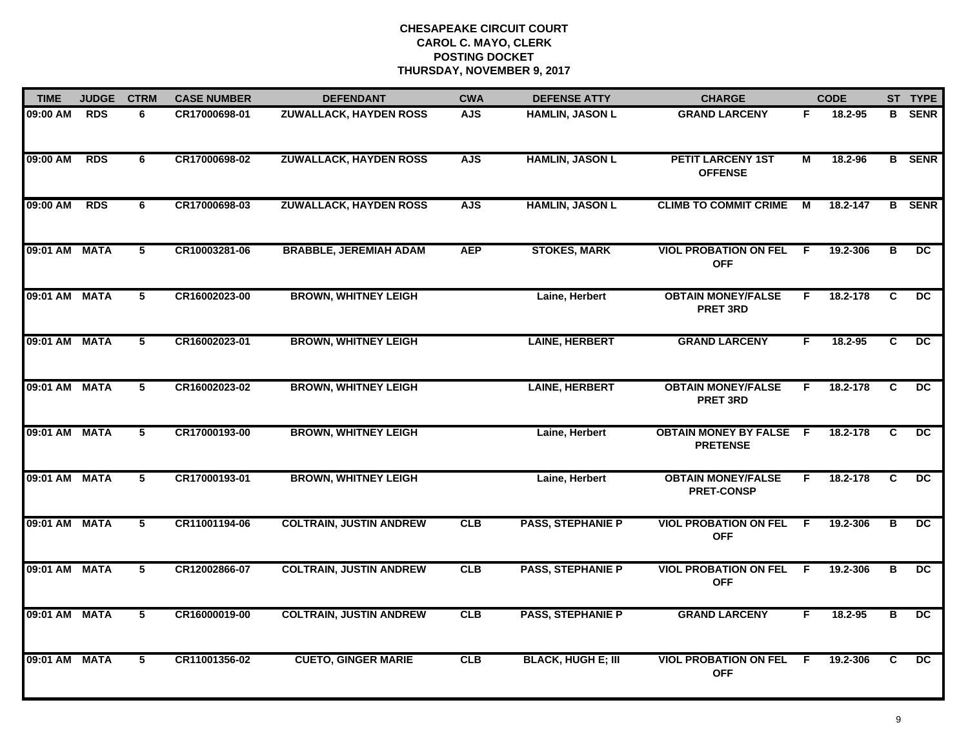| <b>TIME</b>   | <b>JUDGE</b> | <b>CTRM</b>     | <b>CASE NUMBER</b> | <b>DEFENDANT</b>               | <b>CWA</b> | <b>DEFENSE ATTY</b>       | <b>CHARGE</b>                                     |     | <b>CODE</b> |                         | ST TYPE         |
|---------------|--------------|-----------------|--------------------|--------------------------------|------------|---------------------------|---------------------------------------------------|-----|-------------|-------------------------|-----------------|
| 09:00 AM      | <b>RDS</b>   | 6               | CR17000698-01      | <b>ZUWALLACK, HAYDEN ROSS</b>  | <b>AJS</b> | <b>HAMLIN, JASON L</b>    | <b>GRAND LARCENY</b>                              | F.  | 18.2-95     |                         | <b>B</b> SENR   |
| 09:00 AM      | <b>RDS</b>   | 6               | CR17000698-02      | <b>ZUWALLACK, HAYDEN ROSS</b>  | <b>AJS</b> | <b>HAMLIN, JASON L</b>    | <b>PETIT LARCENY 1ST</b><br><b>OFFENSE</b>        | М   | 18.2-96     |                         | <b>B</b> SENR   |
| 09:00 AM      | <b>RDS</b>   | 6               | CR17000698-03      | <b>ZUWALLACK, HAYDEN ROSS</b>  | <b>AJS</b> | <b>HAMLIN, JASON L</b>    | <b>CLIMB TO COMMIT CRIME</b>                      | М   | 18.2-147    |                         | <b>B</b> SENR   |
| 09:01 AM MATA |              | 5               | CR10003281-06      | <b>BRABBLE, JEREMIAH ADAM</b>  | <b>AEP</b> | <b>STOKES, MARK</b>       | <b>VIOL PROBATION ON FEL</b><br><b>OFF</b>        | -F. | 19.2-306    | в                       | DC.             |
| 09:01 AM MATA |              | 5               | CR16002023-00      | <b>BROWN, WHITNEY LEIGH</b>    |            | Laine, Herbert            | <b>OBTAIN MONEY/FALSE</b><br><b>PRET 3RD</b>      | F.  | 18.2-178    | C                       | <b>DC</b>       |
| 09:01 AM MATA |              | 5               | CR16002023-01      | <b>BROWN, WHITNEY LEIGH</b>    |            | <b>LAINE, HERBERT</b>     | <b>GRAND LARCENY</b>                              | F.  | 18.2-95     | C                       | $\overline{DC}$ |
| 09:01 AM MATA |              | $\overline{5}$  | CR16002023-02      | <b>BROWN, WHITNEY LEIGH</b>    |            | <b>LAINE, HERBERT</b>     | <b>OBTAIN MONEY/FALSE</b><br><b>PRET 3RD</b>      | F   | 18.2-178    | $\overline{c}$          | $\overline{DC}$ |
| 09:01 AM MATA |              | 5               | CR17000193-00      | <b>BROWN, WHITNEY LEIGH</b>    |            | Laine, Herbert            | <b>OBTAIN MONEY BY FALSE F</b><br><b>PRETENSE</b> |     | 18.2-178    | C                       | $\overline{DC}$ |
| 09:01 AM MATA |              | 5               | CR17000193-01      | <b>BROWN, WHITNEY LEIGH</b>    |            | Laine, Herbert            | <b>OBTAIN MONEY/FALSE</b><br><b>PRET-CONSP</b>    | F.  | 18.2-178    | C                       | DC.             |
| 09:01 AM MATA |              | 5               | CR11001194-06      | <b>COLTRAIN, JUSTIN ANDREW</b> | CLB        | <b>PASS, STEPHANIE P</b>  | <b>VIOL PROBATION ON FEL</b><br><b>OFF</b>        | -F  | 19.2-306    | B                       | DC              |
| 09:01 AM MATA |              | $5\overline{)}$ | CR12002866-07      | <b>COLTRAIN, JUSTIN ANDREW</b> | CLB        | <b>PASS, STEPHANIE P</b>  | <b>VIOL PROBATION ON FEL F</b><br><b>OFF</b>      |     | 19.2-306    | В                       | DC.             |
| 09:01 AM MATA |              | 5               | CR16000019-00      | <b>COLTRAIN, JUSTIN ANDREW</b> | CLB        | <b>PASS, STEPHANIE P</b>  | <b>GRAND LARCENY</b>                              | F.  | 18.2-95     | $\overline{\mathbf{B}}$ | DC              |
| 09:01 AM MATA |              | 5               | CR11001356-02      | <b>CUETO, GINGER MARIE</b>     | <b>CLB</b> | <b>BLACK, HUGH E; III</b> | <b>VIOL PROBATION ON FEL</b><br><b>OFF</b>        | -F. | 19.2-306    | C                       | DC.             |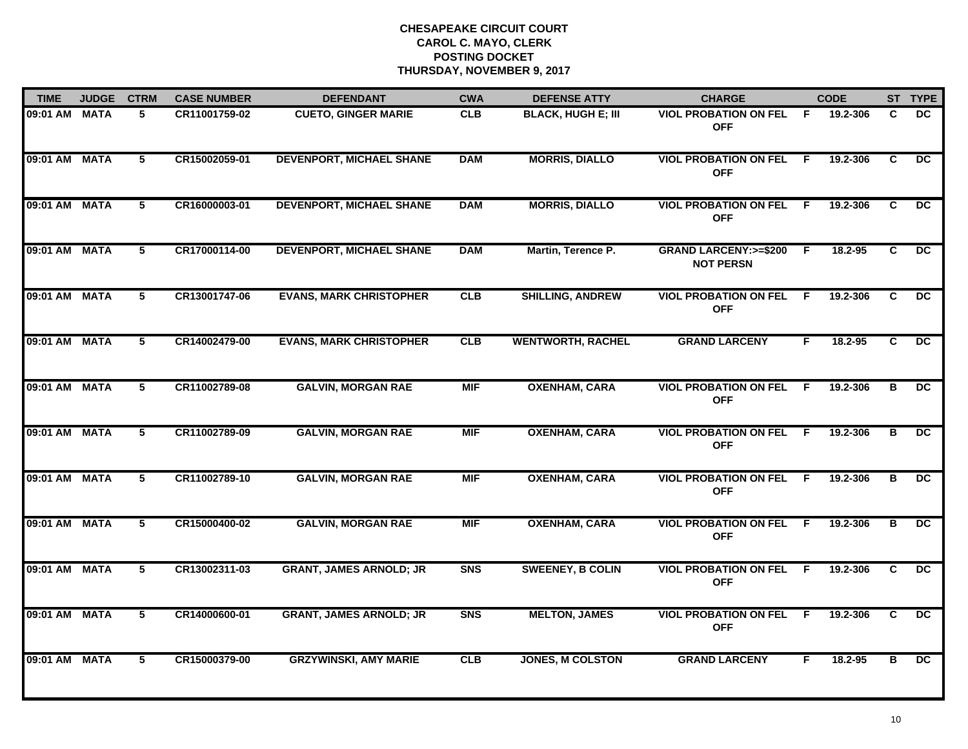| <b>TIME</b>   | <b>JUDGE</b> | <b>CTRM</b> | <b>CASE NUMBER</b> | <b>DEFENDANT</b>                | <b>CWA</b> | <b>DEFENSE ATTY</b>       | <b>CHARGE</b>                                        |                | <b>CODE</b> |                | ST TYPE         |
|---------------|--------------|-------------|--------------------|---------------------------------|------------|---------------------------|------------------------------------------------------|----------------|-------------|----------------|-----------------|
| 09:01 AM MATA |              | 5           | CR11001759-02      | <b>CUETO, GINGER MARIE</b>      | <b>CLB</b> | <b>BLACK, HUGH E; III</b> | <b>VIOL PROBATION ON FEL</b><br><b>OFF</b>           | F.             | 19.2-306    | C              | DC.             |
| 09:01 AM MATA |              | 5           | CR15002059-01      | <b>DEVENPORT, MICHAEL SHANE</b> | <b>DAM</b> | <b>MORRIS, DIALLO</b>     | <b>VIOL PROBATION ON FEL</b><br><b>OFF</b>           | $\overline{F}$ | 19.2-306    | $\overline{c}$ | $\overline{DC}$ |
| 09:01 AM MATA |              | 5           | CR16000003-01      | <b>DEVENPORT, MICHAEL SHANE</b> | <b>DAM</b> | <b>MORRIS, DIALLO</b>     | <b>VIOL PROBATION ON FEL</b><br><b>OFF</b>           | -F.            | 19.2-306    | C              | DC.             |
| 09:01 AM MATA |              | 5           | CR17000114-00      | <b>DEVENPORT, MICHAEL SHANE</b> | <b>DAM</b> | Martin, Terence P.        | <b>GRAND LARCENY: &gt;=\$200</b><br><b>NOT PERSN</b> | -F             | 18.2-95     | C              | DC.             |
| 09:01 AM MATA |              | 5           | CR13001747-06      | <b>EVANS, MARK CHRISTOPHER</b>  | CLB        | <b>SHILLING, ANDREW</b>   | <b>VIOL PROBATION ON FEL</b><br><b>OFF</b>           | F.             | 19.2-306    | C.             | DC.             |
| 09:01 AM MATA |              | 5           | CR14002479-00      | <b>EVANS, MARK CHRISTOPHER</b>  | CLB        | <b>WENTWORTH, RACHEL</b>  | <b>GRAND LARCENY</b>                                 | F.             | 18.2-95     | C              | DC.             |
| 09:01 AM MATA |              | 5           | CR11002789-08      | <b>GALVIN, MORGAN RAE</b>       | <b>MIF</b> | <b>OXENHAM, CARA</b>      | <b>VIOL PROBATION ON FEL</b><br><b>OFF</b>           | -F.            | 19.2-306    | в              | DC.             |
| 09:01 AM MATA |              | 5           | CR11002789-09      | <b>GALVIN, MORGAN RAE</b>       | <b>MIF</b> | <b>OXENHAM, CARA</b>      | <b>VIOL PROBATION ON FEL</b><br><b>OFF</b>           | -F             | 19.2-306    | В              | DC              |
| 09:01 AM MATA |              | 5           | CR11002789-10      | <b>GALVIN, MORGAN RAE</b>       | <b>MIF</b> | <b>OXENHAM, CARA</b>      | <b>VIOL PROBATION ON FEL</b><br><b>OFF</b>           | F.             | 19.2-306    | в              | <b>DC</b>       |
| 09:01 AM MATA |              | 5           | CR15000400-02      | <b>GALVIN, MORGAN RAE</b>       | <b>MIF</b> | <b>OXENHAM, CARA</b>      | <b>VIOL PROBATION ON FEL</b><br><b>OFF</b>           | F.             | 19.2-306    | В              | <b>DC</b>       |
| 09:01 AM MATA |              | 5           | CR13002311-03      | <b>GRANT, JAMES ARNOLD; JR</b>  | <b>SNS</b> | <b>SWEENEY, B COLIN</b>   | <b>VIOL PROBATION ON FEL</b><br><b>OFF</b>           | -F.            | 19.2-306    | C              | $\overline{DC}$ |
| 09:01 AM MATA |              | 5           | CR14000600-01      | <b>GRANT, JAMES ARNOLD; JR</b>  | <b>SNS</b> | <b>MELTON, JAMES</b>      | <b>VIOL PROBATION ON FEL</b><br><b>OFF</b>           | F              | 19.2-306    | C              | DC.             |
| 09:01 AM MATA |              | 5           | CR15000379-00      | <b>GRZYWINSKI, AMY MARIE</b>    | <b>CLB</b> | <b>JONES, M COLSTON</b>   | <b>GRAND LARCENY</b>                                 | F              | 18.2-95     | в              | DC              |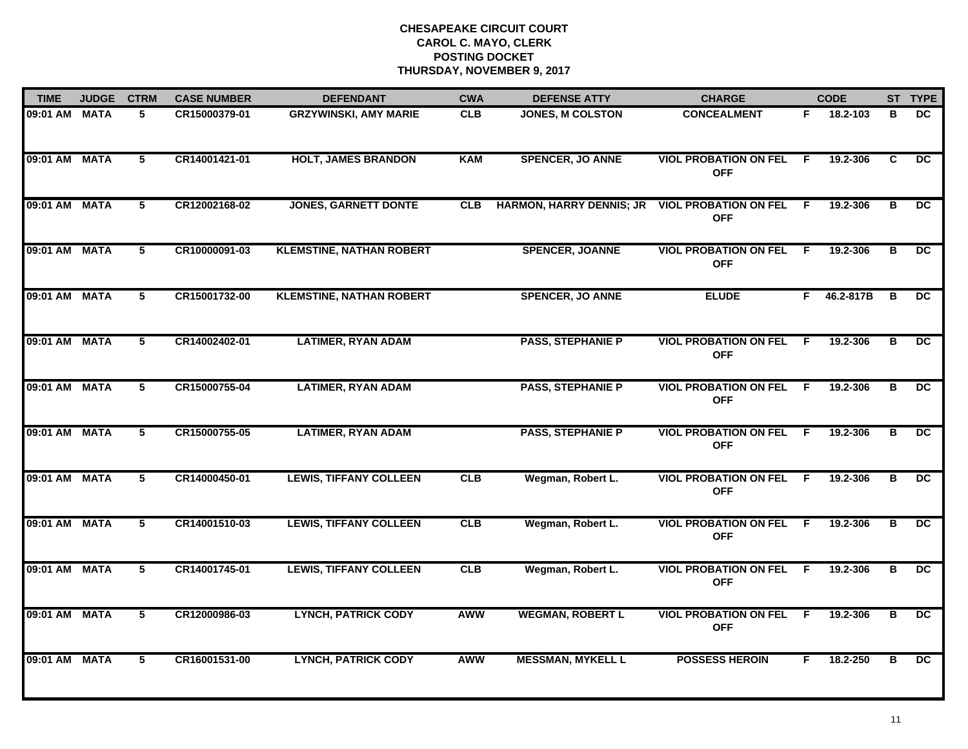| <b>TIME</b>   | <b>JUDGE</b> | <b>CTRM</b>    | <b>CASE NUMBER</b> | <b>DEFENDANT</b>                | <b>CWA</b> | <b>DEFENSE ATTY</b>             | <b>CHARGE</b>                              |                | <b>CODE</b> |                         | ST TYPE         |
|---------------|--------------|----------------|--------------------|---------------------------------|------------|---------------------------------|--------------------------------------------|----------------|-------------|-------------------------|-----------------|
| 09:01 AM MATA |              | 5              | CR15000379-01      | <b>GRZYWINSKI, AMY MARIE</b>    | <b>CLB</b> | JONES, M COLSTON                | <b>CONCEALMENT</b>                         | F.             | 18.2-103    | B                       | DC.             |
| 09:01 AM MATA |              | 5              | CR14001421-01      | <b>HOLT, JAMES BRANDON</b>      | <b>KAM</b> | <b>SPENCER, JO ANNE</b>         | <b>VIOL PROBATION ON FEL</b><br><b>OFF</b> | F.             | 19.2-306    | C.                      | DC.             |
| 09:01 AM MATA |              | 5              | CR12002168-02      | <b>JONES, GARNETT DONTE</b>     | <b>CLB</b> | <b>HARMON, HARRY DENNIS; JR</b> | <b>VIOL PROBATION ON FEL</b><br><b>OFF</b> | F.             | 19.2-306    | в                       | DC.             |
| 09:01 AM MATA |              | 5              | CR10000091-03      | <b>KLEMSTINE, NATHAN ROBERT</b> |            | <b>SPENCER, JOANNE</b>          | <b>VIOL PROBATION ON FEL</b><br><b>OFF</b> | - F            | 19.2-306    | В                       | DC.             |
| 09:01 AM MATA |              | 5              | CR15001732-00      | <b>KLEMSTINE, NATHAN ROBERT</b> |            | <b>SPENCER, JO ANNE</b>         | <b>ELUDE</b>                               | F.             | 46.2-817B   | B                       | <b>DC</b>       |
| 09:01 AM MATA |              | 5              | CR14002402-01      | <b>LATIMER, RYAN ADAM</b>       |            | <b>PASS, STEPHANIE P</b>        | <b>VIOL PROBATION ON FEL</b><br><b>OFF</b> | F.             | 19.2-306    | в                       | DC.             |
| 09:01 AM MATA |              | $\overline{5}$ | CR15000755-04      | <b>LATIMER, RYAN ADAM</b>       |            | <b>PASS, STEPHANIE P</b>        | <b>VIOL PROBATION ON FEL</b><br><b>OFF</b> | $\overline{F}$ | 19.2-306    | $\overline{\mathbf{B}}$ | $\overline{DC}$ |
| 09:01 AM MATA |              | 5              | CR15000755-05      | <b>LATIMER, RYAN ADAM</b>       |            | <b>PASS, STEPHANIE P</b>        | <b>VIOL PROBATION ON FEL</b><br><b>OFF</b> | F.             | 19.2-306    | В                       | $\overline{DC}$ |
| 09:01 AM MATA |              | 5              | CR14000450-01      | <b>LEWIS, TIFFANY COLLEEN</b>   | CLB        | Wegman, Robert L.               | <b>VIOL PROBATION ON FEL</b><br><b>OFF</b> | -F             | 19.2-306    | в                       | DC.             |
| 09:01 AM MATA |              | 5              | CR14001510-03      | <b>LEWIS, TIFFANY COLLEEN</b>   | CLB        | Wegman, Robert L.               | <b>VIOL PROBATION ON FEL</b><br><b>OFF</b> | F.             | 19.2-306    | в                       | <b>DC</b>       |
| 09:01 AM MATA |              | 5              | CR14001745-01      | <b>LEWIS, TIFFANY COLLEEN</b>   | CLB        | Wegman, Robert L.               | <b>VIOL PROBATION ON FEL</b><br><b>OFF</b> | F.             | 19.2-306    | в                       | DC.             |
| 09:01 AM MATA |              | $\overline{5}$ | CR12000986-03      | <b>LYNCH, PATRICK CODY</b>      | <b>AWW</b> | <b>WEGMAN, ROBERT L</b>         | <b>VIOL PROBATION ON FEL</b><br><b>OFF</b> | $\overline{F}$ | 19.2-306    | $\overline{\mathbf{B}}$ | $\overline{DC}$ |
| 09:01 AM MATA |              | 5              | CR16001531-00      | <b>LYNCH, PATRICK CODY</b>      | <b>AWW</b> | <b>MESSMAN, MYKELL L</b>        | <b>POSSESS HEROIN</b>                      | F.             | 18.2-250    | в                       | DC              |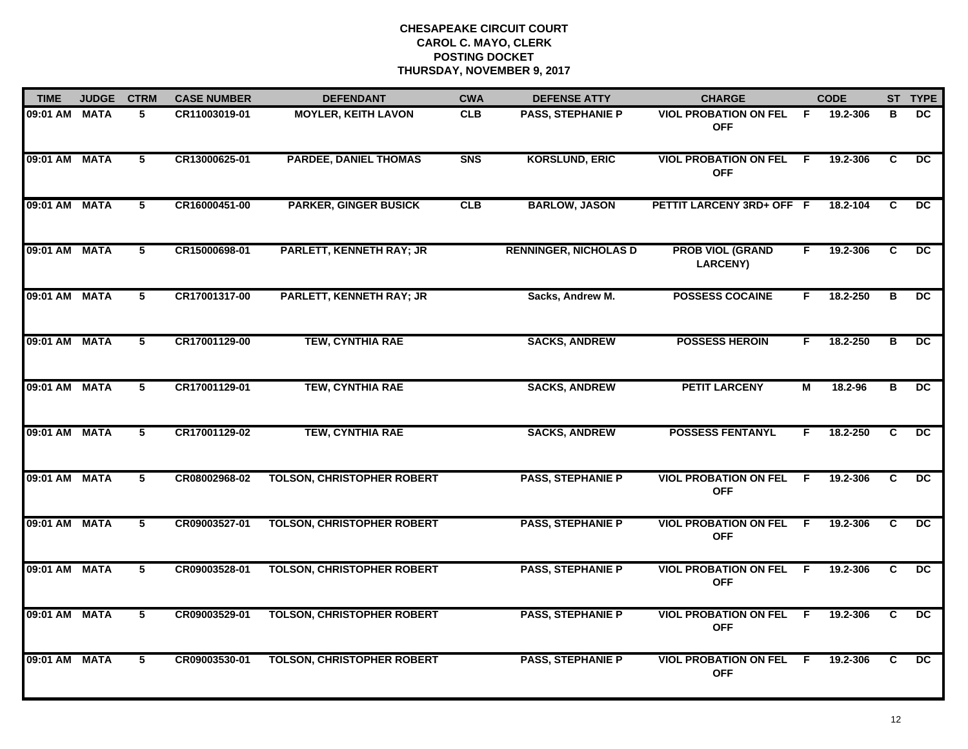| <b>TIME</b>   | <b>JUDGE</b> | <b>CTRM</b>    | <b>CASE NUMBER</b> | <b>DEFENDANT</b>                  | <b>CWA</b> | <b>DEFENSE ATTY</b>          | <b>CHARGE</b>                                |                | <b>CODE</b> |                | ST TYPE         |
|---------------|--------------|----------------|--------------------|-----------------------------------|------------|------------------------------|----------------------------------------------|----------------|-------------|----------------|-----------------|
| 09:01 AM MATA |              | 5              | CR11003019-01      | <b>MOYLER, KEITH LAVON</b>        | <b>CLB</b> | PASS, STEPHANIE P            | <b>VIOL PROBATION ON FEL</b><br><b>OFF</b>   | F.             | 19.2-306    | в              | DC.             |
| 09:01 AM MATA |              | $\overline{5}$ | CR13000625-01      | <b>PARDEE, DANIEL THOMAS</b>      | <b>SNS</b> | <b>KORSLUND, ERIC</b>        | <b>VIOL PROBATION ON FEL</b><br><b>OFF</b>   | $\overline{F}$ | 19.2-306    | $\overline{c}$ | $\overline{DC}$ |
| 09:01 AM MATA |              | 5              | CR16000451-00      | <b>PARKER, GINGER BUSICK</b>      | CLB        | <b>BARLOW, JASON</b>         | PETTIT LARCENY 3RD+ OFF F                    |                | 18.2-104    | C              | DC.             |
| 09:01 AM MATA |              | 5              | CR15000698-01      | PARLETT, KENNETH RAY; JR          |            | <b>RENNINGER, NICHOLAS D</b> | <b>PROB VIOL (GRAND</b><br><b>LARCENY)</b>   | F.             | 19.2-306    | C              | DC              |
| 09:01 AM MATA |              | 5              | CR17001317-00      | <b>PARLETT, KENNETH RAY; JR</b>   |            | Sacks, Andrew M.             | <b>POSSESS COCAINE</b>                       | F.             | 18.2-250    | в              | DC.             |
| 09:01 AM MATA |              | 5              | CR17001129-00      | <b>TEW, CYNTHIA RAE</b>           |            | <b>SACKS, ANDREW</b>         | <b>POSSESS HEROIN</b>                        | F.             | 18.2-250    | в              | DC.             |
| 09:01 AM MATA |              | 5              | CR17001129-01      | <b>TEW, CYNTHIA RAE</b>           |            | <b>SACKS, ANDREW</b>         | <b>PETIT LARCENY</b>                         | М              | 18.2-96     | B              | DC.             |
| 09:01 AM MATA |              | 5.             | CR17001129-02      | <b>TEW, CYNTHIA RAE</b>           |            | <b>SACKS, ANDREW</b>         | <b>POSSESS FENTANYL</b>                      | F.             | 18.2-250    | C.             | DC.             |
| 09:01 AM MATA |              | 5              | CR08002968-02      | <b>TOLSON, CHRISTOPHER ROBERT</b> |            | <b>PASS, STEPHANIE P</b>     | <b>VIOL PROBATION ON FEL</b><br><b>OFF</b>   | -F             | 19.2-306    | C              | DC.             |
| 09:01 AM MATA |              | 5              | CR09003527-01      | <b>TOLSON, CHRISTOPHER ROBERT</b> |            | <b>PASS, STEPHANIE P</b>     | <b>VIOL PROBATION ON FEL</b><br><b>OFF</b>   | - F            | 19.2-306    | C              | DC              |
| 09:01 AM MATA |              | $\overline{5}$ | CR09003528-01      | <b>TOLSON, CHRISTOPHER ROBERT</b> |            | <b>PASS, STEPHANIE P</b>     | <b>VIOL PROBATION ON FEL F</b><br><b>OFF</b> |                | 19.2-306    | C.             | $\overline{DC}$ |
| 09:01 AM MATA |              | $\overline{5}$ | CR09003529-01      | <b>TOLSON, CHRISTOPHER ROBERT</b> |            | <b>PASS, STEPHANIE P</b>     | <b>VIOL PROBATION ON FEL</b><br><b>OFF</b>   | - F            | 19.2-306    | C              | $\overline{DC}$ |
| 09:01 AM MATA |              | 5              | CR09003530-01      | <b>TOLSON, CHRISTOPHER ROBERT</b> |            | <b>PASS, STEPHANIE P</b>     | <b>VIOL PROBATION ON FEL</b><br><b>OFF</b>   | -F.            | 19.2-306    | C              | DC.             |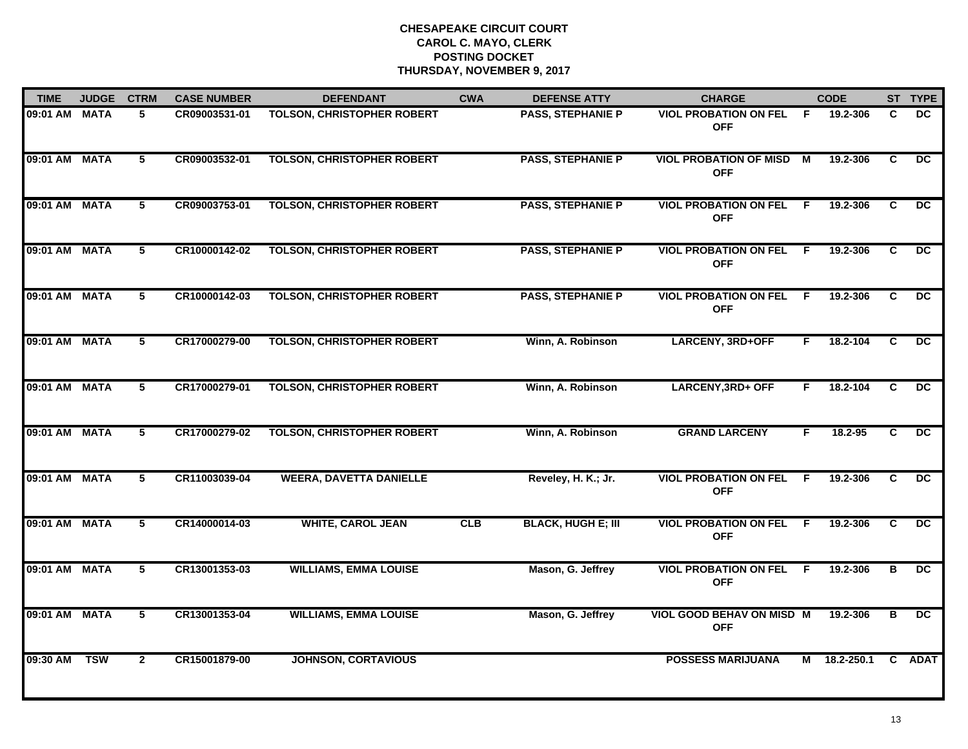| <b>TIME</b>   | <b>JUDGE</b> | <b>CTRM</b>    | <b>CASE NUMBER</b> | <b>DEFENDANT</b>                  | <b>CWA</b> | <b>DEFENSE ATTY</b>       | <b>CHARGE</b>                                 |     | <b>CODE</b>  |              | ST TYPE         |
|---------------|--------------|----------------|--------------------|-----------------------------------|------------|---------------------------|-----------------------------------------------|-----|--------------|--------------|-----------------|
| 09:01 AM MATA |              | 5              | CR09003531-01      | <b>TOLSON, CHRISTOPHER ROBERT</b> |            | <b>PASS, STEPHANIE P</b>  | <b>VIOL PROBATION ON FEL</b><br><b>OFF</b>    | - F | 19.2-306     | C.           | DC.             |
| 09:01 AM MATA |              | 5              | CR09003532-01      | <b>TOLSON, CHRISTOPHER ROBERT</b> |            | <b>PASS, STEPHANIE P</b>  | <b>VIOL PROBATION OF MISD M</b><br><b>OFF</b> |     | 19.2-306     | C            | DC              |
| 09:01 AM MATA |              | $\overline{5}$ | CR09003753-01      | <b>TOLSON, CHRISTOPHER ROBERT</b> |            | <b>PASS, STEPHANIE P</b>  | <b>VIOL PROBATION ON FEL</b><br><b>OFF</b>    | E   | 19.2-306     | C            | $\overline{DC}$ |
| 09:01 AM MATA |              | 5              | CR10000142-02      | <b>TOLSON, CHRISTOPHER ROBERT</b> |            | <b>PASS, STEPHANIE P</b>  | <b>VIOL PROBATION ON FEL</b><br><b>OFF</b>    | -F  | 19.2-306     | C.           | DC.             |
| 09:01 AM MATA |              | 5              | CR10000142-03      | <b>TOLSON, CHRISTOPHER ROBERT</b> |            | <b>PASS, STEPHANIE P</b>  | <b>VIOL PROBATION ON FEL</b><br><b>OFF</b>    | F.  | 19.2-306     | C            | DC.             |
| 09:01 AM MATA |              | 5              | CR17000279-00      | <b>TOLSON, CHRISTOPHER ROBERT</b> |            | Winn, A. Robinson         | LARCENY, 3RD+OFF                              | F.  | 18.2-104     | C.           | DC              |
| 09:01 AM MATA |              | 5              | CR17000279-01      | <b>TOLSON, CHRISTOPHER ROBERT</b> |            | Winn, A. Robinson         | LARCENY, 3RD+ OFF                             | E   | 18.2-104     | C.           | DC.             |
| 09:01 AM MATA |              | $\overline{5}$ | CR17000279-02      | <b>TOLSON, CHRISTOPHER ROBERT</b> |            | Winn, A. Robinson         | <b>GRAND LARCENY</b>                          | F   | 18.2-95      | C            | $\overline{DC}$ |
| 09:01 AM MATA |              | 5              | CR11003039-04      | <b>WEERA, DAVETTA DANIELLE</b>    |            | Reveley, H. K.; Jr.       | <b>VIOL PROBATION ON FEL</b><br><b>OFF</b>    | E   | 19.2-306     | C.           | <b>DC</b>       |
| 09:01 AM MATA |              | 5              | CR14000014-03      | <b>WHITE, CAROL JEAN</b>          | CLB        | <b>BLACK, HUGH E; III</b> | <b>VIOL PROBATION ON FEL</b><br><b>OFF</b>    | E   | 19.2-306     | C            | <b>DC</b>       |
| 09:01 AM MATA |              | 5              | CR13001353-03      | <b>WILLIAMS, EMMA LOUISE</b>      |            | Mason, G. Jeffrey         | <b>VIOL PROBATION ON FEL</b><br><b>OFF</b>    | -F  | 19.2-306     | в            | DC              |
| 09:01 AM MATA |              | 5              | CR13001353-04      | <b>WILLIAMS, EMMA LOUISE</b>      |            | Mason, G. Jeffrey         | VIOL GOOD BEHAV ON MISD M<br><b>OFF</b>       |     | 19.2-306     | B            | DC              |
| 09:30 AM      | <b>TSW</b>   | $\mathbf{2}$   | CR15001879-00      | <b>JOHNSON, CORTAVIOUS</b>        |            |                           | <b>POSSESS MARIJUANA</b>                      |     | M 18.2-250.1 | $\mathbf{C}$ | <b>ADAT</b>     |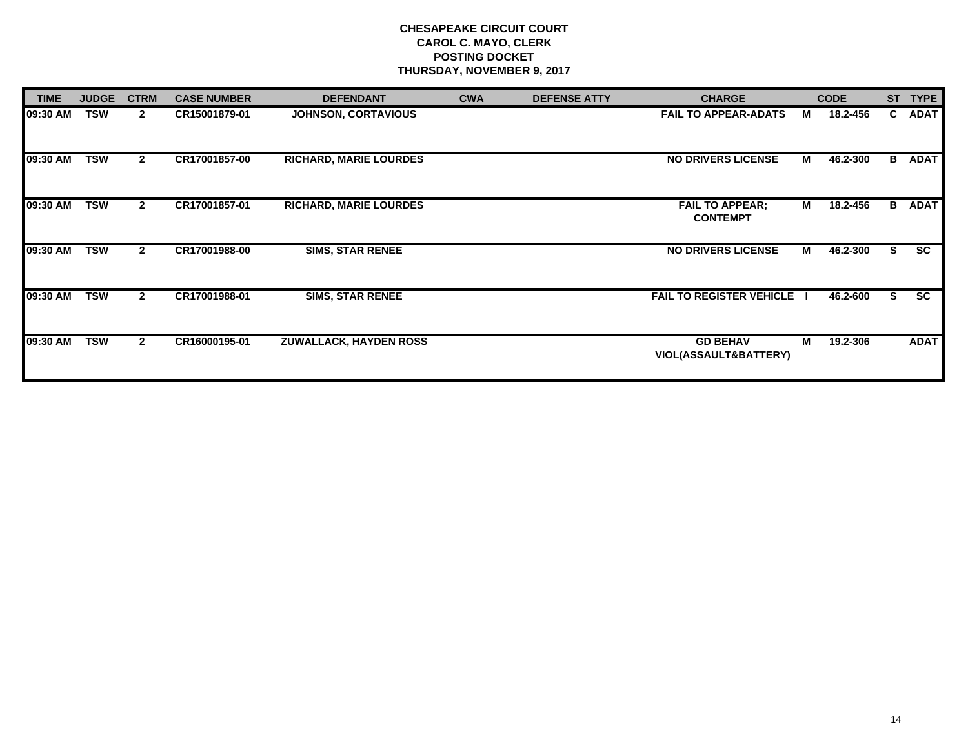| <b>TIME</b> | <b>JUDGE</b> | <b>CTRM</b>  | <b>CASE NUMBER</b> | <b>DEFENDANT</b>              | <b>CWA</b> | <b>DEFENSE ATTY</b> | <b>CHARGE</b>                                       |   | <b>CODE</b> | <b>ST</b> | <b>TYPE</b>   |
|-------------|--------------|--------------|--------------------|-------------------------------|------------|---------------------|-----------------------------------------------------|---|-------------|-----------|---------------|
| 09:30 AM    | <b>TSW</b>   | $\mathbf{2}$ | CR15001879-01      | <b>JOHNSON, CORTAVIOUS</b>    |            |                     | <b>FAIL TO APPEAR-ADATS</b>                         | м | 18.2-456    | C.        | <b>ADAT</b>   |
| 09:30 AM    | <b>TSW</b>   | $\mathbf{2}$ | CR17001857-00      | <b>RICHARD, MARIE LOURDES</b> |            |                     | <b>NO DRIVERS LICENSE</b>                           | M | 46.2-300    | B         | <b>ADAT</b>   |
| 09:30 AM    | <b>TSW</b>   | $\mathbf{2}$ | CR17001857-01      | <b>RICHARD, MARIE LOURDES</b> |            |                     | <b>FAIL TO APPEAR;</b><br><b>CONTEMPT</b>           | м | 18.2-456    |           | <b>B</b> ADAT |
| 09:30 AM    | <b>TSW</b>   | $\mathbf{2}$ | CR17001988-00      | <b>SIMS, STAR RENEE</b>       |            |                     | <b>NO DRIVERS LICENSE</b>                           | м | 46.2-300    | S.        | <b>SC</b>     |
| 09:30 AM    | <b>TSW</b>   | $\mathbf{2}$ | CR17001988-01      | <b>SIMS, STAR RENEE</b>       |            |                     | <b>FAIL TO REGISTER VEHICLE</b>                     |   | 46.2-600    | S.        | <b>SC</b>     |
| 09:30 AM    | <b>TSW</b>   | $\mathbf{2}$ | CR16000195-01      | <b>ZUWALLACK, HAYDEN ROSS</b> |            |                     | <b>GD BEHAV</b><br><b>VIOL(ASSAULT&amp;BATTERY)</b> | м | 19.2-306    |           | <b>ADAT</b>   |